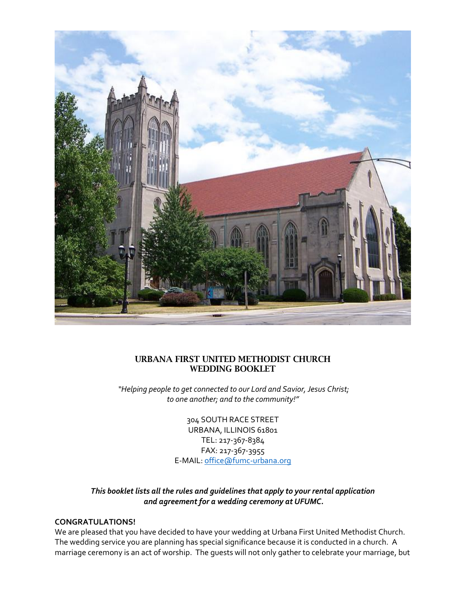

## URBANA FIRST UNITED METHODIST CHURCH WEDDING BOOKLET

*"Helping people to get connected to our Lord and Savior, Jesus Christ; to one another; and to the community!"*

> 304 SOUTH RACE STREET URBANA, ILLINOIS 61801 TEL: 217-367-8384 FAX: 217-367-3955 E-MAIL: [office@fumc-urbana.org](mailto:office@fumc-urbana.org)

## *This booklet lists all the rules and guidelines that apply to your rental application and agreement for a wedding ceremony at UFUMC.*

#### **CONGRATULATIONS!**

We are pleased that you have decided to have your wedding at Urbana First United Methodist Church. The wedding service you are planning has special significance because it is conducted in a church. A marriage ceremony is an act of worship. The guests will not only gather to celebrate your marriage, but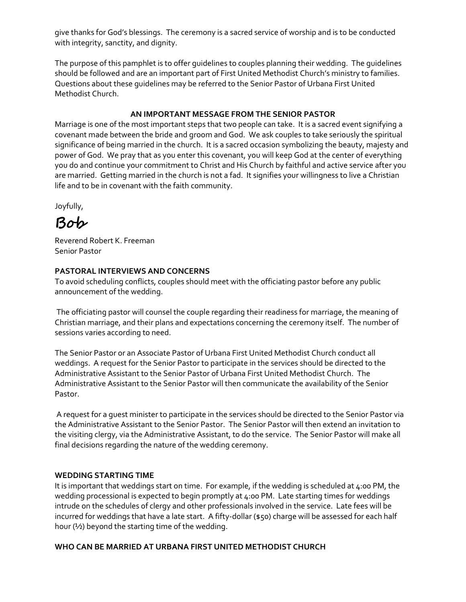give thanks for God's blessings. The ceremony is a sacred service of worship and is to be conducted with integrity, sanctity, and dignity.

The purpose of this pamphlet is to offer guidelines to couples planning their wedding. The guidelines should be followed and are an important part of First United Methodist Church's ministry to families. Questions about these guidelines may be referred to the Senior Pastor of Urbana First United Methodist Church.

#### **AN IMPORTANT MESSAGE FROM THE SENIOR PASTOR**

Marriage is one of the most important steps that two people can take. It is a sacred event signifying a covenant made between the bride and groom and God. We ask couples to take seriously the spiritual significance of being married in the church. It is a sacred occasion symbolizing the beauty, majesty and power of God. We pray that as you enter this covenant, you will keep God at the center of everything you do and continue your commitment to Christ and His Church by faithful and active service after you are married. Getting married in the church is not a fad. It signifies your willingness to live a Christian life and to be in covenant with the faith community.

Joyfully,

**Bob**

Reverend Robert K. Freeman Senior Pastor

#### **PASTORAL INTERVIEWS AND CONCERNS**

To avoid scheduling conflicts, couples should meet with the officiating pastor before any public announcement of the wedding.

The officiating pastor will counsel the couple regarding their readiness for marriage, the meaning of Christian marriage, and their plans and expectations concerning the ceremony itself. The number of sessions varies according to need.

The Senior Pastor or an Associate Pastor of Urbana First United Methodist Church conduct all weddings. A request for the Senior Pastor to participate in the services should be directed to the Administrative Assistant to the Senior Pastor of Urbana First United Methodist Church. The Administrative Assistant to the Senior Pastor will then communicate the availability of the Senior Pastor.

A request for a guest minister to participate in the services should be directed to the Senior Pastor via the Administrative Assistant to the Senior Pastor. The Senior Pastor will then extend an invitation to the visiting clergy, via the Administrative Assistant, to do the service. The Senior Pastor will make all final decisions regarding the nature of the wedding ceremony.

#### **WEDDING STARTING TIME**

It is important that weddings start on time. For example, if the wedding is scheduled at 4:00 PM, the wedding processional is expected to begin promptly at 4:00 PM. Late starting times for weddings intrude on the schedules of clergy and other professionals involved in the service. Late fees will be incurred for weddings that have a late start. A fifty-dollar (\$50) charge will be assessed for each half hour (½) beyond the starting time of the wedding.

#### **WHO CAN BE MARRIED AT URBANA FIRST UNITED METHODIST CHURCH**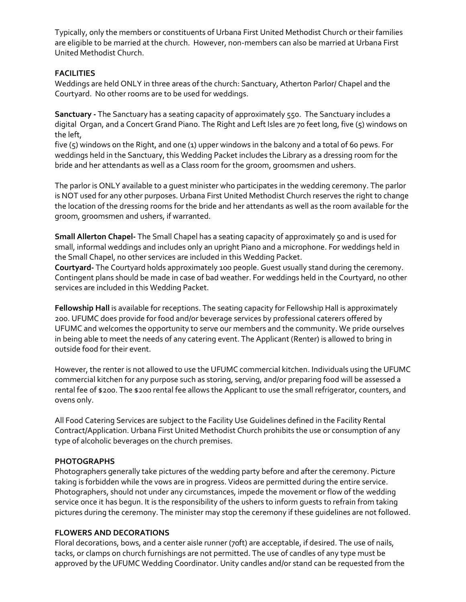Typically, only the members or constituents of Urbana First United Methodist Church or their families are eligible to be married at the church. However, non-members can also be married at Urbana First United Methodist Church.

#### **FACILITIES**

Weddings are held ONLY in three areas of the church: Sanctuary, Atherton Parlor/ Chapel and the Courtyard. No other rooms are to be used for weddings.

**Sanctuary -** The Sanctuary has a seating capacity of approximately 550. The Sanctuary includes a digital Organ, and a Concert Grand Piano. The Right and Left Isles are 70 feet long, five (5) windows on the left,

five (5) windows on the Right, and one (1) upper windows in the balcony and a total of 60 pews. For weddings held in the Sanctuary, this Wedding Packet includes the Library as a dressing room for the bride and her attendants as well as a Class room for the groom, groomsmen and ushers.

The parlor is ONLY available to a guest minister who participates in the wedding ceremony. The parlor is NOT used for any other purposes. Urbana First United Methodist Church reserves the right to change the location of the dressing rooms for the bride and her attendants as well as the room available for the groom, groomsmen and ushers, if warranted.

**Small Allerton Chapel-** The Small Chapel has a seating capacity of approximately 50 and is used for small, informal weddings and includes only an upright Piano and a microphone. For weddings held in the Small Chapel, no other services are included in this Wedding Packet.

**Courtyard-** The Courtyard holds approximately 100 people. Guest usually stand during the ceremony. Contingent plans should be made in case of bad weather. For weddings held in the Courtyard, no other services are included in this Wedding Packet.

**Fellowship Hall** is available for receptions. The seating capacity for Fellowship Hall is approximately 200. UFUMC does provide for food and/or beverage services by professional caterers offered by UFUMC and welcomes the opportunity to serve our members and the community. We pride ourselves in being able to meet the needs of any catering event. The Applicant (Renter) is allowed to bring in outside food for their event.

However, the renter is not allowed to use the UFUMC commercial kitchen. Individuals using the UFUMC commercial kitchen for any purpose such as storing, serving, and/or preparing food will be assessed a rental fee of \$200. The \$200 rental fee allows the Applicant to use the small refrigerator, counters, and ovens only.

All Food Catering Services are subject to the Facility Use Guidelines defined in the Facility Rental Contract/Application. Urbana First United Methodist Church prohibits the use or consumption of any type of alcoholic beverages on the church premises.

#### **PHOTOGRAPHS**

Photographers generally take pictures of the wedding party before and after the ceremony. Picture taking is forbidden while the vows are in progress. Videos are permitted during the entire service. Photographers, should not under any circumstances, impede the movement or flow of the wedding service once it has begun. It is the responsibility of the ushers to inform guests to refrain from taking pictures during the ceremony. The minister may stop the ceremony if these guidelines are not followed.

#### **FLOWERS AND DECORATIONS**

Floral decorations, bows, and a center aisle runner (70ft) are acceptable, if desired. The use of nails, tacks, or clamps on church furnishings are not permitted. The use of candles of any type must be approved by the UFUMC Wedding Coordinator. Unity candles and/or stand can be requested from the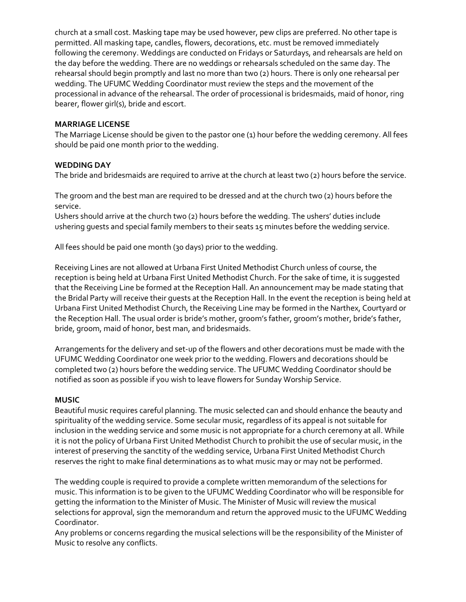church at a small cost. Masking tape may be used however, pew clips are preferred. No other tape is permitted. All masking tape, candles, flowers, decorations, etc. must be removed immediately following the ceremony. Weddings are conducted on Fridays or Saturdays, and rehearsals are held on the day before the wedding. There are no weddings or rehearsals scheduled on the same day. The rehearsal should begin promptly and last no more than two (2) hours. There is only one rehearsal per wedding. The UFUMC Wedding Coordinator must review the steps and the movement of the processional in advance of the rehearsal. The order of processional is bridesmaids, maid of honor, ring bearer, flower girl(s), bride and escort.

#### **MARRIAGE LICENSE**

The Marriage License should be given to the pastor one (1) hour before the wedding ceremony. All fees should be paid one month prior to the wedding.

#### **WEDDING DAY**

The bride and bridesmaids are required to arrive at the church at least two (2) hours before the service.

The groom and the best man are required to be dressed and at the church two (2) hours before the service.

Ushers should arrive at the church two (2) hours before the wedding. The ushers' duties include ushering guests and special family members to their seats 15 minutes before the wedding service.

All fees should be paid one month (30 days) prior to the wedding.

Receiving Lines are not allowed at Urbana First United Methodist Church unless of course, the reception is being held at Urbana First United Methodist Church. For the sake of time, it is suggested that the Receiving Line be formed at the Reception Hall. An announcement may be made stating that the Bridal Party will receive their guests at the Reception Hall. In the event the reception is being held at Urbana First United Methodist Church, the Receiving Line may be formed in the Narthex, Courtyard or the Reception Hall. The usual order is bride's mother, groom's father, groom's mother, bride's father, bride, groom, maid of honor, best man, and bridesmaids.

Arrangements for the delivery and set-up of the flowers and other decorations must be made with the UFUMC Wedding Coordinator one week prior to the wedding. Flowers and decorations should be completed two (2) hours before the wedding service. The UFUMC Wedding Coordinator should be notified as soon as possible if you wish to leave flowers for Sunday Worship Service.

#### **MUSIC**

Beautiful music requires careful planning. The music selected can and should enhance the beauty and spirituality of the wedding service. Some secular music, regardless of its appeal is not suitable for inclusion in the wedding service and some music is not appropriate for a church ceremony at all. While it is not the policy of Urbana First United Methodist Church to prohibit the use of secular music, in the interest of preserving the sanctity of the wedding service, Urbana First United Methodist Church reserves the right to make final determinations as to what music may or may not be performed.

The wedding couple is required to provide a complete written memorandum of the selections for music. This information is to be given to the UFUMC Wedding Coordinator who will be responsible for getting the information to the Minister of Music. The Minister of Music will review the musical selections for approval, sign the memorandum and return the approved music to the UFUMC Wedding Coordinator.

Any problems or concerns regarding the musical selections will be the responsibility of the Minister of Music to resolve any conflicts.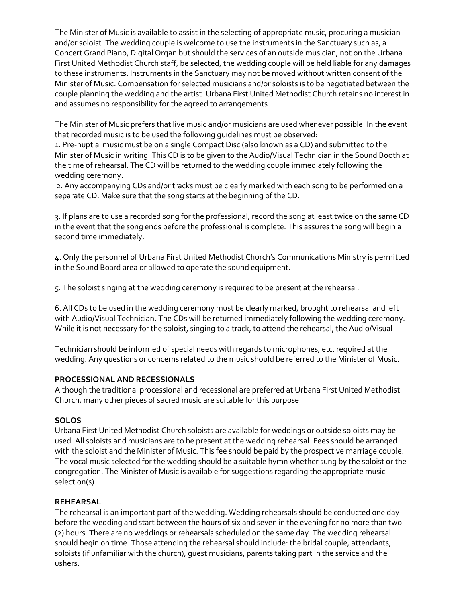The Minister of Music is available to assist in the selecting of appropriate music, procuring a musician and/or soloist. The wedding couple is welcome to use the instruments in the Sanctuary such as, a Concert Grand Piano, Digital Organ but should the services of an outside musician, not on the Urbana First United Methodist Church staff, be selected, the wedding couple will be held liable for any damages to these instruments. Instruments in the Sanctuary may not be moved without written consent of the Minister of Music. Compensation for selected musicians and/or soloists is to be negotiated between the couple planning the wedding and the artist. Urbana First United Methodist Church retains no interest in and assumes no responsibility for the agreed to arrangements.

The Minister of Music prefers that live music and/or musicians are used whenever possible. In the event that recorded music is to be used the following guidelines must be observed:

1. Pre-nuptial music must be on a single Compact Disc (also known as a CD) and submitted to the Minister of Music in writing. This CD is to be given to the Audio/Visual Technician in the Sound Booth at the time of rehearsal. The CD will be returned to the wedding couple immediately following the wedding ceremony.

2. Any accompanying CDs and/or tracks must be clearly marked with each song to be performed on a separate CD. Make sure that the song starts at the beginning of the CD.

3. If plans are to use a recorded song for the professional, record the song at least twice on the same CD in the event that the song ends before the professional is complete. This assures the song will begin a second time immediately.

4. Only the personnel of Urbana First United Methodist Church's Communications Ministry is permitted in the Sound Board area or allowed to operate the sound equipment.

5. The soloist singing at the wedding ceremony is required to be present at the rehearsal.

6. All CDs to be used in the wedding ceremony must be clearly marked, brought to rehearsal and left with Audio/Visual Technician. The CDs will be returned immediately following the wedding ceremony. While it is not necessary for the soloist, singing to a track, to attend the rehearsal, the Audio/Visual

Technician should be informed of special needs with regards to microphones, etc. required at the wedding. Any questions or concerns related to the music should be referred to the Minister of Music.

#### **PROCESSIONAL AND RECESSIONALS**

Although the traditional processional and recessional are preferred at Urbana First United Methodist Church, many other pieces of sacred music are suitable for this purpose.

#### **SOLOS**

Urbana First United Methodist Church soloists are available for weddings or outside soloists may be used. All soloists and musicians are to be present at the wedding rehearsal. Fees should be arranged with the soloist and the Minister of Music. This fee should be paid by the prospective marriage couple. The vocal music selected for the wedding should be a suitable hymn whether sung by the soloist or the congregation. The Minister of Music is available for suggestions regarding the appropriate music selection(s).

## **REHEARSAL**

The rehearsal is an important part of the wedding. Wedding rehearsals should be conducted one day before the wedding and start between the hours of six and seven in the evening for no more than two (2) hours. There are no weddings or rehearsals scheduled on the same day. The wedding rehearsal should begin on time. Those attending the rehearsal should include: the bridal couple, attendants, soloists (if unfamiliar with the church), guest musicians, parents taking part in the service and the ushers.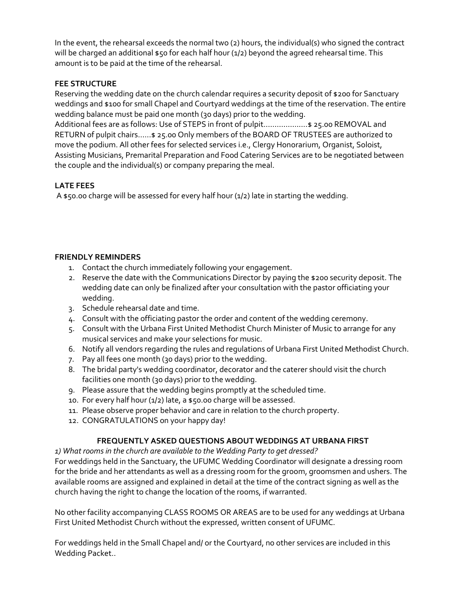In the event, the rehearsal exceeds the normal two (2) hours, the individual(s) who signed the contract will be charged an additional  $$50$  for each half hour (1/2) beyond the agreed rehearsal time. This amount is to be paid at the time of the rehearsal.

## **FEE STRUCTURE**

Reserving the wedding date on the church calendar requires a security deposit of \$200 for Sanctuary weddings and \$100 for small Chapel and Courtyard weddings at the time of the reservation. The entire wedding balance must be paid one month (30 days) prior to the wedding.

Additional fees are as follows: Use of STEPS in front of pulpit………….....…\$ 25.00 REMOVAL and RETURN of pulpit chairs……\$ 25.00 Only members of the BOARD OF TRUSTEES are authorized to move the podium. All other fees for selected services i.e., Clergy Honorarium, Organist, Soloist, Assisting Musicians, Premarital Preparation and Food Catering Services are to be negotiated between the couple and the individual(s) or company preparing the meal.

## **LATE FEES**

A  $$50.00$  charge will be assessed for every half hour (1/2) late in starting the wedding.

## **FRIENDLY REMINDERS**

- 1. Contact the church immediately following your engagement.
- 2. Reserve the date with the Communications Director by paying the \$200 security deposit. The wedding date can only be finalized after your consultation with the pastor officiating your wedding.
- 3. Schedule rehearsal date and time.
- 4. Consult with the officiating pastor the order and content of the wedding ceremony.
- 5. Consult with the Urbana First United Methodist Church Minister of Music to arrange for any musical services and make your selections for music.
- 6. Notify all vendors regarding the rules and regulations of Urbana First United Methodist Church.
- 7. Pay all fees one month (30 days) prior to the wedding.
- 8. The bridal party's wedding coordinator, decorator and the caterer should visit the church facilities one month (30 days) prior to the wedding.
- 9. Please assure that the wedding begins promptly at the scheduled time.
- 10. For every half hour (1/2) late, a \$50.00 charge will be assessed.
- 11. Please observe proper behavior and care in relation to the church property.
- 12. CONGRATULATIONS on your happy day!

## **FREQUENTLY ASKED QUESTIONS ABOUT WEDDINGS AT URBANA FIRST**

*1) What rooms in the church are available to the Wedding Party to get dressed?*

For weddings held in the Sanctuary, the UFUMC Wedding Coordinator will designate a dressing room for the bride and her attendants as well as a dressing room for the groom, groomsmen and ushers. The available rooms are assigned and explained in detail at the time of the contract signing as well as the church having the right to change the location of the rooms, if warranted.

No other facility accompanying CLASS ROOMS OR AREAS are to be used for any weddings at Urbana First United Methodist Church without the expressed, written consent of UFUMC.

For weddings held in the Small Chapel and/ or the Courtyard, no other services are included in this Wedding Packet..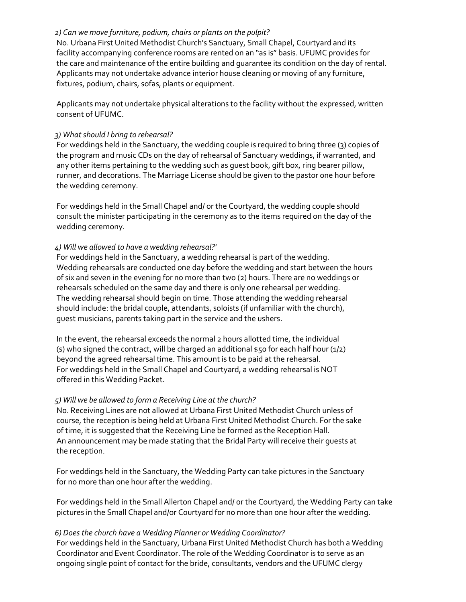#### *2) Can we move furniture, podium, chairs or plants on the pulpit?*

No. Urbana First United Methodist Church's Sanctuary, Small Chapel, Courtyard and its facility accompanying conference rooms are rented on an "as is" basis. UFUMC provides for the care and maintenance of the entire building and guarantee its condition on the day of rental. Applicants may not undertake advance interior house cleaning or moving of any furniture, fixtures, podium, chairs, sofas, plants or equipment.

Applicants may not undertake physical alterations to the facility without the expressed, written consent of UFUMC.

#### *3) What should I bring to rehearsal?*

For weddings held in the Sanctuary, the wedding couple is required to bring three (3) copies of the program and music CDs on the day of rehearsal of Sanctuary weddings, if warranted, and any other items pertaining to the wedding such as guest book, gift box, ring bearer pillow, runner, and decorations. The Marriage License should be given to the pastor one hour before the wedding ceremony.

For weddings held in the Small Chapel and/ or the Courtyard, the wedding couple should consult the minister participating in the ceremony as to the items required on the day of the wedding ceremony.

#### *4) Will we allowed to have a wedding rehearsal?'*

For weddings held in the Sanctuary, a wedding rehearsal is part of the wedding. Wedding rehearsals are conducted one day before the wedding and start between the hours of six and seven in the evening for no more than two (2) hours. There are no weddings or rehearsals scheduled on the same day and there is only one rehearsal per wedding. The wedding rehearsal should begin on time. Those attending the wedding rehearsal should include: the bridal couple, attendants, soloists (if unfamiliar with the church), guest musicians, parents taking part in the service and the ushers.

In the event, the rehearsal exceeds the normal 2 hours allotted time, the individual (s) who signed the contract, will be charged an additional  $$50$  for each half hour (1/2) beyond the agreed rehearsal time. This amount is to be paid at the rehearsal. For weddings held in the Small Chapel and Courtyard, a wedding rehearsal is NOT offered in this Wedding Packet.

#### *5) Will we be allowed to form a Receiving Line at the church?*

No. Receiving Lines are not allowed at Urbana First United Methodist Church unless of course, the reception is being held at Urbana First United Methodist Church. For the sake of time, it is suggested that the Receiving Line be formed as the Reception Hall. An announcement may be made stating that the Bridal Party will receive their guests at the reception.

For weddings held in the Sanctuary, the Wedding Party can take pictures in the Sanctuary for no more than one hour after the wedding.

For weddings held in the Small Allerton Chapel and/ or the Courtyard, the Wedding Party can take pictures in the Small Chapel and/or Courtyard for no more than one hour after the wedding.

#### *6) Does the church have a Wedding Planner or Wedding Coordinator?*

For weddings held in the Sanctuary, Urbana First United Methodist Church has both a Wedding Coordinator and Event Coordinator. The role of the Wedding Coordinator is to serve as an ongoing single point of contact for the bride, consultants, vendors and the UFUMC clergy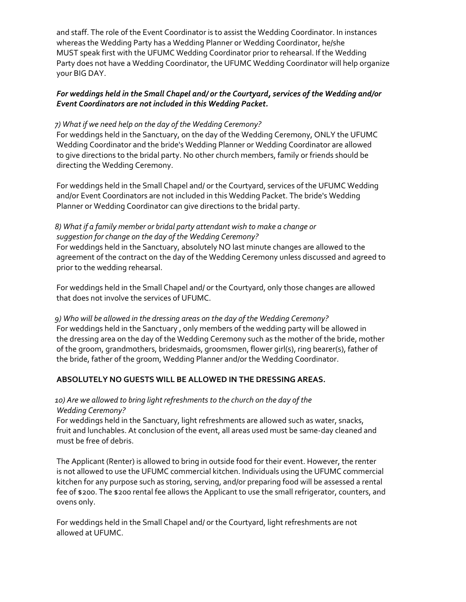and staff. The role of the Event Coordinator is to assist the Wedding Coordinator. In instances whereas the Wedding Party has a Wedding Planner or Wedding Coordinator, he/she MUST speak first with the UFUMC Wedding Coordinator prior to rehearsal. If the Wedding Party does not have a Wedding Coordinator, the UFUMC Wedding Coordinator will help organize your BIG DAY.

#### *For weddings held in the Small Chapel and/ or the Courtyard, services of the Wedding and/or Event Coordinators are not included in this Wedding Packet.*

#### *7) What if we need help on the day of the Wedding Ceremony?*

For weddings held in the Sanctuary, on the day of the Wedding Ceremony, ONLY the UFUMC Wedding Coordinator and the bride's Wedding Planner or Wedding Coordinator are allowed to give directions to the bridal party. No other church members, family or friends should be directing the Wedding Ceremony.

For weddings held in the Small Chapel and/ or the Courtyard, services of the UFUMC Wedding and/or Event Coordinators are not included in this Wedding Packet. The bride's Wedding Planner or Wedding Coordinator can give directions to the bridal party.

#### *8) What if a family member or bridal party attendant wish to make a change or suggestion for change on the day of the Wedding Ceremony?*

For weddings held in the Sanctuary, absolutely NO last minute changes are allowed to the agreement of the contract on the day of the Wedding Ceremony unless discussed and agreed to prior to the wedding rehearsal.

For weddings held in the Small Chapel and/ or the Courtyard, only those changes are allowed that does not involve the services of UFUMC.

*9) Who will be allowed in the dressing areas on the day of the Wedding Ceremony?* For weddings held in the Sanctuary , only members of the wedding party will be allowed in the dressing area on the day of the Wedding Ceremony such as the mother of the bride, mother of the groom, grandmothers, bridesmaids, groomsmen, flower girl(s), ring bearer(s), father of the bride, father of the groom, Wedding Planner and/or the Wedding Coordinator.

#### **ABSOLUTELY NO GUESTS WILL BE ALLOWED IN THE DRESSING AREAS.**

#### *10) Are we allowed to bring light refreshments to the church on the day of the Wedding Ceremony?*

For weddings held in the Sanctuary, light refreshments are allowed such as water, snacks, fruit and lunchables. At conclusion of the event, all areas used must be same-day cleaned and must be free of debris.

The Applicant (Renter) is allowed to bring in outside food for their event. However, the renter is not allowed to use the UFUMC commercial kitchen. Individuals using the UFUMC commercial kitchen for any purpose such as storing, serving, and/or preparing food will be assessed a rental fee of \$200. The \$200 rental fee allows the Applicant to use the small refrigerator, counters, and ovens only.

For weddings held in the Small Chapel and/ or the Courtyard, light refreshments are not allowed at UFUMC.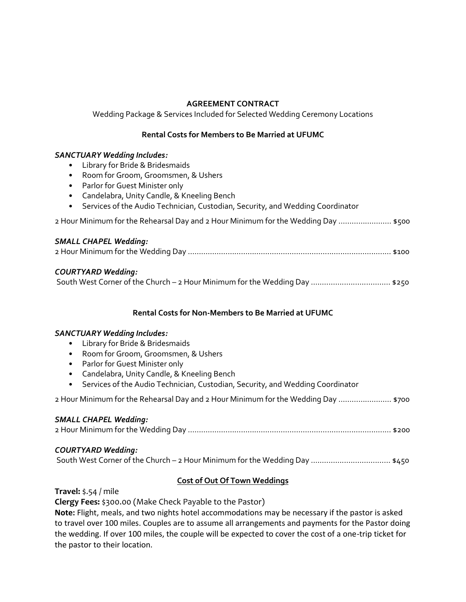## **AGREEMENT CONTRACT**

Wedding Package & Services Included for Selected Wedding Ceremony Locations

#### **Rental Costs for Members to Be Married at UFUMC**

#### *SANCTUARY Wedding Includes:*

- Library for Bride & Bridesmaids
- Room for Groom, Groomsmen, & Ushers
- Parlor for Guest Minister only
- Candelabra, Unity Candle, & Kneeling Bench
- Services of the Audio Technician, Custodian, Security, and Wedding Coordinator

2 Hour Minimum for the Rehearsal Day and 2 Hour Minimum for the Wedding Day …………………… \$500

#### *SMALL CHAPEL Wedding:*

|--|--|--|

#### *COURTYARD Wedding:*

#### **Rental Costs for Non-Members to Be Married at UFUMC**

#### *SANCTUARY Wedding Includes:*

- Library for Bride & Bridesmaids
- Room for Groom, Groomsmen, & Ushers
- Parlor for Guest Minister only
- Candelabra, Unity Candle, & Kneeling Bench
- Services of the Audio Technician, Custodian, Security, and Wedding Coordinator

2 Hour Minimum for the Rehearsal Day and 2 Hour Minimum for the Wedding Day …………………… \$700

## *SMALL CHAPEL Wedding:* 2 Hour Minimum for the Wedding Day ………………………................................................................. \$200

#### *COURTYARD Wedding:*

South West Corner of the Church – 2 Hour Minimum for the Wedding Day ..............................…… \$450

## **Cost of Out Of Town Weddings**

#### **Travel:** \$.54 / mile

**Clergy Fees:** \$300.00 (Make Check Payable to the Pastor)

**Note:** Flight, meals, and two nights hotel accommodations may be necessary if the pastor is asked to travel over 100 miles. Couples are to assume all arrangements and payments for the Pastor doing the wedding. If over 100 miles, the couple will be expected to cover the cost of a one-trip ticket for the pastor to their location.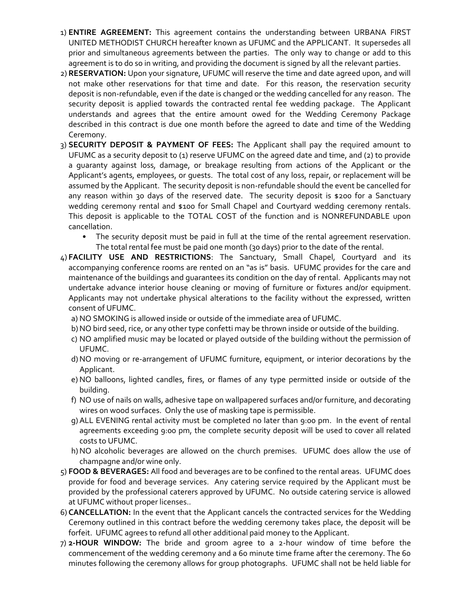- 1) **ENTIRE AGREEMENT:** This agreement contains the understanding between URBANA FIRST UNITED METHODIST CHURCH hereafter known as UFUMC and the APPLICANT. It supersedes all prior and simultaneous agreements between the parties. The only way to change or add to this agreement is to do so in writing, and providing the document is signed by all the relevant parties.
- 2) **RESERVATION:** Upon your signature, UFUMC will reserve the time and date agreed upon, and will not make other reservations for that time and date. For this reason, the reservation security deposit is non-refundable, even if the date is changed or the wedding cancelled for any reason. The security deposit is applied towards the contracted rental fee wedding package. The Applicant understands and agrees that the entire amount owed for the Wedding Ceremony Package described in this contract is due one month before the agreed to date and time of the Wedding Ceremony.
- 3) **SECURITY DEPOSIT & PAYMENT OF FEES:** The Applicant shall pay the required amount to UFUMC as a security deposit to (1) reserve UFUMC on the agreed date and time, and (2) to provide a guaranty against loss, damage, or breakage resulting from actions of the Applicant or the Applicant's agents, employees, or guests. The total cost of any loss, repair, or replacement will be assumed by the Applicant. The security deposit is non-refundable should the event be cancelled for any reason within 30 days of the reserved date. The security deposit is \$200 for a Sanctuary wedding ceremony rental and \$100 for Small Chapel and Courtyard wedding ceremony rentals. This deposit is applicable to the TOTAL COST of the function and is NONREFUNDABLE upon cancellation.
	- The security deposit must be paid in full at the time of the rental agreement reservation. The total rental fee must be paid one month (30 days) prior to the date of the rental.
- 4) **FACILITY USE AND RESTRICTIONS**: The Sanctuary, Small Chapel, Courtyard and its accompanying conference rooms are rented on an "as is" basis. UFUMC provides for the care and maintenance of the buildings and guarantees its condition on the day of rental. Applicants may not undertake advance interior house cleaning or moving of furniture or fixtures and/or equipment. Applicants may not undertake physical alterations to the facility without the expressed, written consent of UFUMC.
	- a) NO SMOKING is allowed inside or outside of the immediate area of UFUMC.
	- b)NO bird seed, rice, or any other type confetti may be thrown inside or outside of the building.
	- c) NO amplified music may be located or played outside of the building without the permission of UFUMC.
	- d)NO moving or re-arrangement of UFUMC furniture, equipment, or interior decorations by the Applicant.
	- e) NO balloons, lighted candles, fires, or flames of any type permitted inside or outside of the building.
	- f) NO use of nails on walls, adhesive tape on wallpapered surfaces and/or furniture, and decorating wires on wood surfaces. Only the use of masking tape is permissible.
	- g)ALL EVENING rental activity must be completed no later than 9:00 pm. In the event of rental agreements exceeding 9:00 pm, the complete security deposit will be used to cover all related costs to UFUMC.
	- h)NO alcoholic beverages are allowed on the church premises. UFUMC does allow the use of champagne and/or wine only.
- 5) **FOOD & BEVERAGES:** All food and beverages are to be confined to the rental areas. UFUMC does provide for food and beverage services. Any catering service required by the Applicant must be provided by the professional caterers approved by UFUMC. No outside catering service is allowed at UFUMC without proper licenses..
- 6) **CANCELLATION:** In the event that the Applicant cancels the contracted services for the Wedding Ceremony outlined in this contract before the wedding ceremony takes place, the deposit will be forfeit. UFUMC agrees to refund all other additional paid money to the Applicant.
- 7) **2-HOUR WINDOW:** The bride and groom agree to a 2-hour window of time before the commencement of the wedding ceremony and a 60 minute time frame after the ceremony. The 60 minutes following the ceremony allows for group photographs. UFUMC shall not be held liable for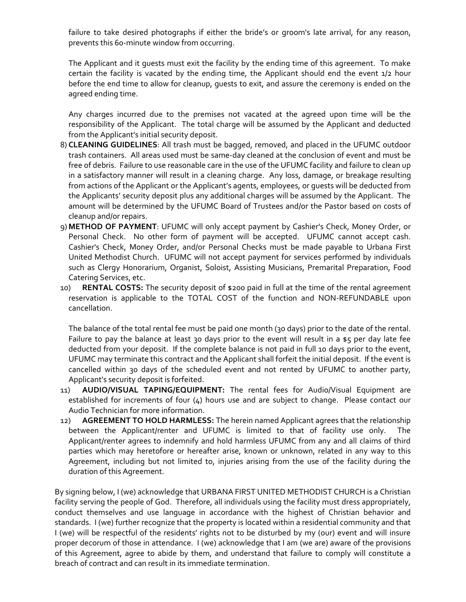failure to take desired photographs if either the bride's or groom's late arrival, for any reason, prevents this 60-minute window from occurring.

The Applicant and it guests must exit the facility by the ending time of this agreement. To make certain the facility is vacated by the ending time, the Applicant should end the event 1/2 hour before the end time to allow for cleanup, guests to exit, and assure the ceremony is ended on the agreed ending time.

Any charges incurred due to the premises not vacated at the agreed upon time will be the responsibility of the Applicant. The total charge will be assumed by the Applicant and deducted from the Applicant's initial security deposit.

- 8) **CLEANING GUIDELINES**: All trash must be bagged, removed, and placed in the UFUMC outdoor trash containers. All areas used must be same-day cleaned at the conclusion of event and must be free of debris. Failure to use reasonable care in the use of the UFUMC facility and failure to clean up in a satisfactory manner will result in a cleaning charge. Any loss, damage, or breakage resulting from actions of the Applicant or the Applicant's agents, employees, or guests will be deducted from the Applicants' security deposit plus any additional charges will be assumed by the Applicant. The amount will be determined by the UFUMC Board of Trustees and/or the Pastor based on costs of cleanup and/or repairs.
- 9) **METHOD OF PAYMENT**: UFUMC will only accept payment by Cashier's Check, Money Order, or Personal Check. No other form of payment will be accepted. UFUMC cannot accept cash. Cashier's Check, Money Order, and/or Personal Checks must be made payable to Urbana First United Methodist Church. UFUMC will not accept payment for services performed by individuals such as Clergy Honorarium, Organist, Soloist, Assisting Musicians, Premarital Preparation, Food Catering Services, etc.
- 10) **RENTAL COSTS:** The security deposit of \$200 paid in full at the time of the rental agreement reservation is applicable to the TOTAL COST of the function and NON-REFUNDABLE upon cancellation.

The balance of the total rental fee must be paid one month (30 days) prior to the date of the rental. Failure to pay the balance at least 30 days prior to the event will result in a \$5 per day late fee deducted from your deposit. If the complete balance is not paid in full 10 days prior to the event, UFUMC may terminate this contract and the Applicant shall forfeit the initial deposit. If the event is cancelled within 30 days of the scheduled event and not rented by UFUMC to another party, Applicant's security deposit is forfeited.

- 11) **AUDIO/VISUAL TAPING/EQUIPMENT:** The rental fees for Audio/Visual Equipment are established for increments of four (4) hours use and are subject to change. Please contact our Audio Technician for more information.
- 12) **AGREEMENT TO HOLD HARMLESS:** The herein named Applicant agrees that the relationship between the Applicant/renter and UFUMC is limited to that of facility use only. The Applicant/renter agrees to indemnify and hold harmless UFUMC from any and all claims of third parties which may heretofore or hereafter arise, known or unknown, related in any way to this Agreement, including but not limited to, injuries arising from the use of the facility during the duration of this Agreement.

By signing below, I (we) acknowledge that URBANA FIRST UNITED METHODIST CHURCH is a Christian facility serving the people of God. Therefore, all individuals using the facility must dress appropriately, conduct themselves and use language in accordance with the highest of Christian behavior and standards. I (we) further recognize that the property is located within a residential community and that I (we) will be respectful of the residents' rights not to be disturbed by my (our) event and will insure proper decorum of those in attendance. I (we) acknowledge that I am (we are) aware of the provisions of this Agreement, agree to abide by them, and understand that failure to comply will constitute a breach of contract and can result in its immediate termination.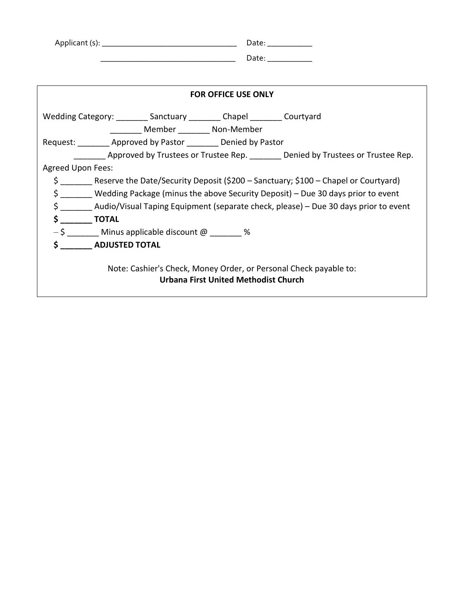| Applicant (s): | Date: |
|----------------|-------|
|                | Date: |

| <b>FOR OFFICE USE ONLY</b>                                                                                |
|-----------------------------------------------------------------------------------------------------------|
| Wedding Category: _________ Sanctuary _________ Chapel ________ Courtyard                                 |
| Member ____________________ Non-Member                                                                    |
| Request: _________ Approved by Pastor ________ Denied by Pastor                                           |
| Approved by Trustees or Trustee Rep. Senied by Trustees or Trustee Rep.                                   |
| Agreed Upon Fees:                                                                                         |
| \$ Reserve the Date/Security Deposit (\$200 – Sanctuary; \$100 – Chapel or Courtyard)                     |
| \$ Wedding Package (minus the above Security Deposit) – Due 30 days prior to event                        |
| \$ Audio/Visual Taping Equipment (separate check, please) - Due 30 days prior to event                    |
| $\sim$ TOTAL                                                                                              |
| $-\xi$ Minus applicable discount @ $\%$                                                                   |
| <b>\$</b> ADJUSTED TOTAL                                                                                  |
| Note: Cashier's Check, Money Order, or Personal Check payable to:<br>Urbana First United Methodist Church |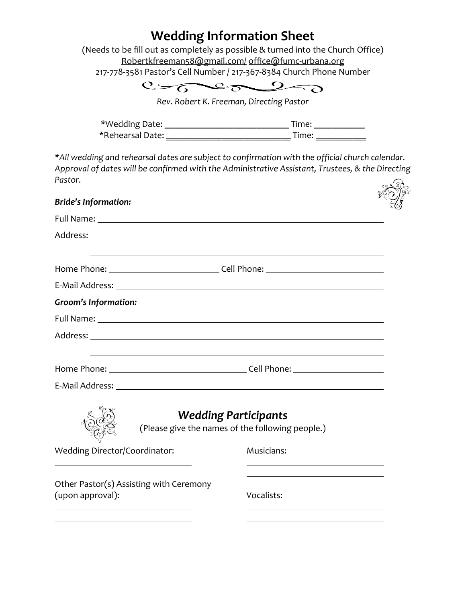| <b>Wedding Information Sheet</b><br>(Needs to be fill out as completely as possible & turned into the Church Office)                                                                                                                 |            |
|--------------------------------------------------------------------------------------------------------------------------------------------------------------------------------------------------------------------------------------|------------|
| Robertkfreeman58@gmail.com/office@fumc-urbana.org                                                                                                                                                                                    |            |
| 217-778-3581 Pastor's Cell Number / 217-367-8384 Church Phone Number                                                                                                                                                                 |            |
| C                                                                                                                                                                                                                                    |            |
| Rev. Robert K. Freeman, Directing Pastor                                                                                                                                                                                             |            |
|                                                                                                                                                                                                                                      |            |
|                                                                                                                                                                                                                                      |            |
| *All wedding and rehearsal dates are subject to confirmation with the official church calendar.<br>Approval of dates will be confirmed with the Administrative Assistant, Trustees, & the Directing<br>Pastor.                       |            |
| <b>Bride's Information:</b>                                                                                                                                                                                                          |            |
|                                                                                                                                                                                                                                      |            |
|                                                                                                                                                                                                                                      |            |
|                                                                                                                                                                                                                                      |            |
|                                                                                                                                                                                                                                      |            |
| E-Mail Address: No. 2014 19:30 Address: 2014 19:30 Address: 2014 19:30 Address: 2014 19:30 Address: 2014 19:30                                                                                                                       |            |
| <b>Groom's Information:</b>                                                                                                                                                                                                          |            |
| Full Name: <u>Andrea Barbara and Barbara and Barbara and Barbara and Barbara and Barbara and Barbara and Barbara and Barbara and Barbara and Barbara and Barbara and Barbara and Barbara and Barbara and Barbara and Barbara and</u> |            |
|                                                                                                                                                                                                                                      |            |
|                                                                                                                                                                                                                                      |            |
|                                                                                                                                                                                                                                      |            |
| E-Mail Address:                                                                                                                                                                                                                      |            |
|                                                                                                                                                                                                                                      |            |
| <b>Wedding Participants</b><br>(Please give the names of the following people.)                                                                                                                                                      |            |
| Wedding Director/Coordinator:                                                                                                                                                                                                        | Musicians: |
|                                                                                                                                                                                                                                      |            |
| Other Pastor(s) Assisting with Ceremony<br>(upon approval):                                                                                                                                                                          | Vocalists: |
|                                                                                                                                                                                                                                      |            |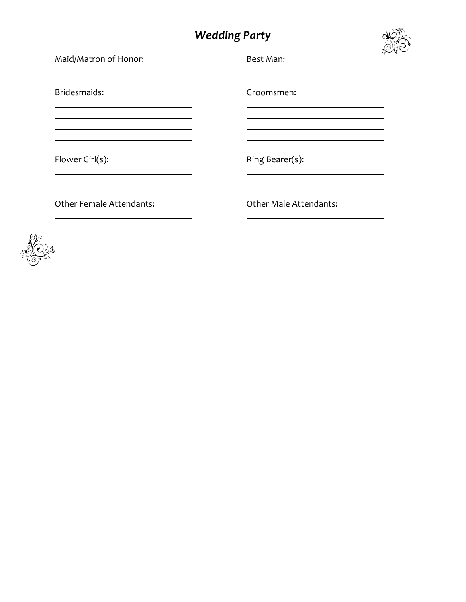## *Wedding Party*



| Maid/Matron of Honor:                                                          | ్డ<br>Best Man:               |
|--------------------------------------------------------------------------------|-------------------------------|
| Bridesmaids:                                                                   | Groomsmen:                    |
| <u> 1989 - Johann Stoff, Amerikaansk politiker (* 1958)</u><br>Flower Girl(s): | Ring Bearer(s):               |
| <b>Other Female Attendants:</b>                                                | <b>Other Male Attendants:</b> |